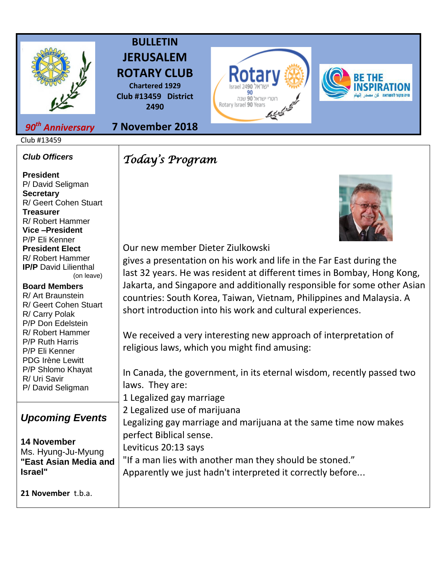

## **BULLETIN JERUSALEM ROTARY CLUB**

**Chartered 1929 Club #13459 District 2490**

**7 November 2018**

#### *90th Anniversary*

Club #13459

#### *Club Officers*

**President**  P/ David Seligman **Secretary**  R/ Geert Cohen Stuart **Treasurer**  R/ Robert Hammer **Vice –President**  P/P Eli Kenner **President Elect**  R/ Robert Hammer **IP/P** David Lilienthal (on leave) **Board Members** 

R/ Art Braunstein R/ Geert Cohen Stuart R/ Carry Polak P/P Don Edelstein R/ Robert Hammer P/P Ruth Harris P/P Eli Kenner PDG Irène Lewitt P/P Shlomo Khayat R/ Uri Savir P/ David Seligman

### *Upcoming Events*

**14 November**  Ms. Hyung-Ju-Myung **"East Asian Media and Israel"**

**21 November** t.b.a.

## *Today's Program*







Our new member Dieter Ziulkowski

gives a presentation on his work and life in the Far East during the last 32 years. He was resident at different times in Bombay, Hong Kong, Jakarta, and Singapore and additionally responsible for some other Asian countries: South Korea, Taiwan, Vietnam, Philippines and Malaysia. A short introduction into his work and cultural experiences.

We received a very interesting new approach of interpretation of religious laws, which you might find amusing:

In Canada, the government, in its eternal wisdom, recently passed two laws. They are: 1 Legalized gay marriage 2 Legalized use of marijuana Legalizing gay marriage and marijuana at the same time now makes perfect Biblical sense. Leviticus 20:13 says "If a man lies with another man they should be stoned." Apparently we just hadn't interpreted it correctly before...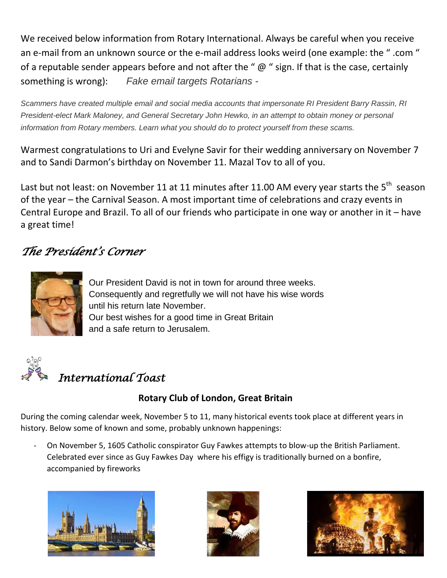We received below information from Rotary International. Always be careful when you receive an e-mail from an unknown source or the e-mail address looks weird (one example: the " .com " of a reputable sender appears before and not after the " $\omega$ " sign. If that is the case, certainly something is wrong): *Fake email targets Rotarians -*

*Scammers have created multiple email and social media accounts that impersonate RI President Barry Rassin, RI President-elect Mark Maloney, and General Secretary John Hewko, in an attempt to obtain money or personal information from Rotary members. Learn what you should do to protect yourself from these scams.*

Warmest congratulations to Uri and Evelyne Savir for their wedding anniversary on November 7 and to Sandi Darmon's birthday on November 11. Mazal Tov to all of you.

Last but not least: on November 11 at 11 minutes after 11.00 AM every year starts the 5<sup>th</sup> season of the year – the Carnival Season. A most important time of celebrations and crazy events in Central Europe and Brazil. To all of our friends who participate in one way or another in it – have a great time!

### *The President's Corner*



Our President David is not in town for around three weeks. Consequently and regretfully we will not have his wise words until his return late November. Our best wishes for a good time in Great Britain and a safe return to Jerusalem.



# *International Toast*

#### **Rotary Club of London, Great Britain**

During the coming calendar week, November 5 to 11, many historical events took place at different years in history. Below some of known and some, probably unknown happenings:

- On November 5, 1605 Catholic conspirator Guy Fawkes attempts to blow-up the British Parliament. Celebrated ever since as Guy Fawkes Day where his effigy is traditionally burned on a bonfire, accompanied by fireworks